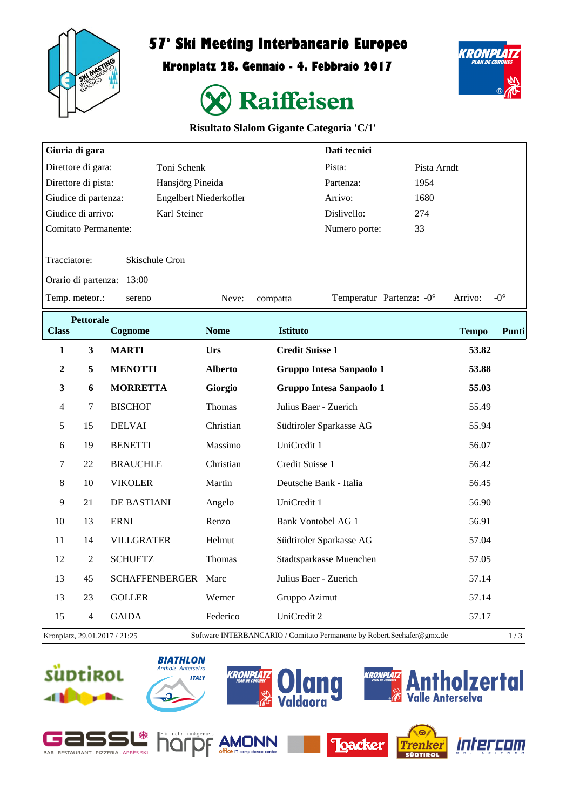

## **57° Ski Meeting Interbancario Europeo**

**Kronplatz 28. Gennaio - 4. Febbraio 2017**





## **Risultato Slalom Gigante Categoria 'C/1'**

| Giuria di gara                                                                                          |                           |                       |                        |                           | Dati tecnici                    |                           |              |              |
|---------------------------------------------------------------------------------------------------------|---------------------------|-----------------------|------------------------|---------------------------|---------------------------------|---------------------------|--------------|--------------|
| Direttore di gara:<br>Toni Schenk                                                                       |                           |                       |                        | Pista:                    | Pista Arndt                     |                           |              |              |
| Direttore di pista:<br>Hansjörg Pineida                                                                 |                           |                       |                        | Partenza:                 | 1954                            |                           |              |              |
| Giudice di partenza:                                                                                    |                           |                       | Engelbert Niederkofler |                           | Arrivo:                         | 1680                      |              |              |
| Giudice di arrivo:<br>Karl Steiner                                                                      |                           |                       |                        |                           | Dislivello:                     | 274                       |              |              |
| <b>Comitato Permanente:</b>                                                                             |                           |                       |                        |                           | Numero porte:                   | 33                        |              |              |
| Tracciatore:<br>Skischule Cron                                                                          |                           |                       |                        |                           |                                 |                           |              |              |
|                                                                                                         | Orario di partenza: 13:00 |                       |                        |                           |                                 |                           |              |              |
|                                                                                                         | Temp. meteor.:<br>sereno  |                       |                        | compatta                  |                                 | Temperatur Partenza: - 0° | Arrivo:      | $-0^{\circ}$ |
| <b>Class</b>                                                                                            | <b>Pettorale</b>          | Cognome               | <b>Nome</b>            | <b>Istituto</b>           |                                 |                           | <b>Tempo</b> | Punti        |
| $\mathbf{1}$                                                                                            | 3                         | <b>MARTI</b>          | Urs                    | <b>Credit Suisse 1</b>    |                                 |                           | 53.82        |              |
| $\boldsymbol{2}$                                                                                        | 5                         | <b>MENOTTI</b>        | <b>Alberto</b>         |                           | <b>Gruppo Intesa Sanpaolo 1</b> |                           | 53.88        |              |
| 3                                                                                                       | 6                         | <b>MORRETTA</b>       | Giorgio                |                           | <b>Gruppo Intesa Sanpaolo 1</b> |                           | 55.03        |              |
| $\overline{4}$                                                                                          | $\tau$                    | <b>BISCHOF</b>        | Thomas                 | Julius Baer - Zuerich     |                                 |                           | 55.49        |              |
| 5                                                                                                       | 15                        | <b>DELVAI</b>         | Christian              |                           | Südtiroler Sparkasse AG         |                           | 55.94        |              |
| 6                                                                                                       | 19                        | <b>BENETTI</b>        | Massimo                | UniCredit 1               |                                 |                           | 56.07        |              |
| $\overline{7}$                                                                                          | 22                        | <b>BRAUCHLE</b>       | Christian              | Credit Suisse 1           |                                 |                           | 56.42        |              |
| 8                                                                                                       | 10                        | <b>VIKOLER</b>        | Martin                 | Deutsche Bank - Italia    |                                 |                           | 56.45        |              |
| 9                                                                                                       | 21                        | DE BASTIANI           | Angelo                 | UniCredit 1               |                                 |                           | 56.90        |              |
| 10                                                                                                      | 13                        | <b>ERNI</b>           | Renzo                  | <b>Bank Vontobel AG 1</b> |                                 |                           | 56.91        |              |
| 11                                                                                                      | 14                        | <b>VILLGRATER</b>     | Helmut                 |                           | Südtiroler Sparkasse AG         |                           | 57.04        |              |
| 12                                                                                                      | $\overline{2}$            | <b>SCHUETZ</b>        | <b>Thomas</b>          |                           | Stadtsparkasse Muenchen         |                           | 57.05        |              |
| 13                                                                                                      | 45                        | <b>SCHAFFENBERGER</b> | Marc                   | Julius Baer - Zuerich     |                                 |                           | 57.14        |              |
| 13                                                                                                      | 23                        | <b>GOLLER</b>         | Werner                 | Gruppo Azimut             |                                 |                           | 57.14        |              |
| 15                                                                                                      | 4                         | <b>GAIDA</b>          | Federico               | UniCredit 2               |                                 |                           | 57.17        |              |
| Kronplatz, 29.01.2017 / 21:25<br>Software INTERBANCARIO / Comitato Permanente by Robert.Seehafer@gmx.de |                           |                       |                        |                           |                                 |                           | 1/3          |              |

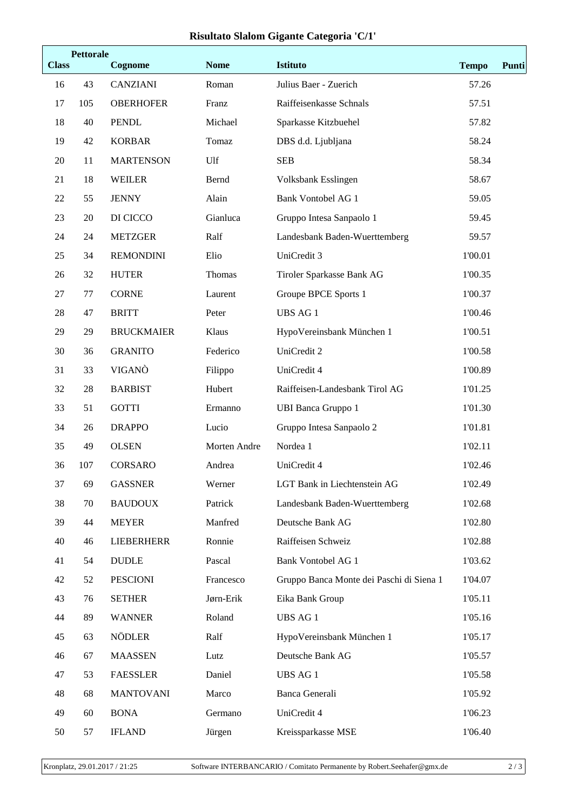## **Risultato Slalom Gigante Categoria 'C/1'**

| <b>Pettorale</b><br><b>Class</b><br>Cognome |     | <b>Nome</b>       | <b>Istituto</b> | <b>Tempo</b>                             |         |  |
|---------------------------------------------|-----|-------------------|-----------------|------------------------------------------|---------|--|
| 16                                          | 43  | CANZIANI          | Roman           | Julius Baer - Zuerich                    | 57.26   |  |
| 17                                          | 105 | <b>OBERHOFER</b>  | Franz           | Raiffeisenkasse Schnals                  | 57.51   |  |
| 18                                          | 40  | <b>PENDL</b>      | Michael         | Sparkasse Kitzbuehel                     | 57.82   |  |
| 19                                          | 42  | <b>KORBAR</b>     | Tomaz           | DBS d.d. Ljubljana                       | 58.24   |  |
| 20                                          | 11  | <b>MARTENSON</b>  | Ulf             | <b>SEB</b>                               | 58.34   |  |
| 21                                          | 18  | <b>WEILER</b>     | Bernd           | Volksbank Esslingen                      | 58.67   |  |
| 22                                          | 55  | <b>JENNY</b>      | Alain           | <b>Bank Vontobel AG 1</b>                | 59.05   |  |
| 23                                          | 20  | DI CICCO          | Gianluca        | Gruppo Intesa Sanpaolo 1                 | 59.45   |  |
| 24                                          | 24  | <b>METZGER</b>    | Ralf            | Landesbank Baden-Wuerttemberg            | 59.57   |  |
| 25                                          | 34  | <b>REMONDINI</b>  | Elio            | UniCredit 3                              | 1'00.01 |  |
| 26                                          | 32  | <b>HUTER</b>      | Thomas          | Tiroler Sparkasse Bank AG                | 1'00.35 |  |
| 27                                          | 77  | <b>CORNE</b>      | Laurent         | Groupe BPCE Sports 1                     | 1'00.37 |  |
| 28                                          | 47  | <b>BRITT</b>      | Peter           | <b>UBS AG1</b>                           | 1'00.46 |  |
| 29                                          | 29  | <b>BRUCKMAIER</b> | Klaus           | HypoVereinsbank München 1                | 1'00.51 |  |
| 30                                          | 36  | <b>GRANITO</b>    | Federico        | UniCredit 2                              | 1'00.58 |  |
| 31                                          | 33  | VIGANÒ            | Filippo         | UniCredit 4                              | 1'00.89 |  |
| 32                                          | 28  | <b>BARBIST</b>    | Hubert          | Raiffeisen-Landesbank Tirol AG           | 1'01.25 |  |
| 33                                          | 51  | <b>GOTTI</b>      | Ermanno         | <b>UBI Banca Gruppo 1</b>                | 1'01.30 |  |
| 34                                          | 26  | <b>DRAPPO</b>     | Lucio           | Gruppo Intesa Sanpaolo 2                 | 1'01.81 |  |
| 35                                          | 49  | <b>OLSEN</b>      | Morten Andre    | Nordea 1                                 | 1'02.11 |  |
| 36                                          | 107 | <b>CORSARO</b>    | Andrea          | UniCredit 4                              | 1'02.46 |  |
| 37                                          | 69  | <b>GASSNER</b>    | Werner          | LGT Bank in Liechtenstein AG             | 1'02.49 |  |
| 38                                          | 70  | <b>BAUDOUX</b>    | Patrick         | Landesbank Baden-Wuerttemberg            | 1'02.68 |  |
| 39                                          | 44  | <b>MEYER</b>      | Manfred         | Deutsche Bank AG                         | 1'02.80 |  |
| 40                                          | 46  | <b>LIEBERHERR</b> | Ronnie          | Raiffeisen Schweiz                       | 1'02.88 |  |
| 41                                          | 54  | <b>DUDLE</b>      | Pascal          | <b>Bank Vontobel AG 1</b>                | 1'03.62 |  |
| 42                                          | 52  | <b>PESCIONI</b>   | Francesco       | Gruppo Banca Monte dei Paschi di Siena 1 | 1'04.07 |  |
| 43                                          | 76  | <b>SETHER</b>     | Jørn-Erik       | Eika Bank Group                          | 1'05.11 |  |
| 44                                          | 89  | <b>WANNER</b>     | Roland          | UBS AG 1                                 | 1'05.16 |  |
| 45                                          | 63  | <b>NÖDLER</b>     | Ralf            | HypoVereinsbank München 1                | 1'05.17 |  |
| 46                                          | 67  | <b>MAASSEN</b>    | Lutz            | Deutsche Bank AG                         | 1'05.57 |  |
| 47                                          | 53  | <b>FAESSLER</b>   | Daniel          | <b>UBS AG 1</b>                          | 1'05.58 |  |
| 48                                          | 68  | <b>MANTOVANI</b>  | Marco           | Banca Generali                           | 1'05.92 |  |
| 49                                          | 60  | <b>BONA</b>       | Germano         | UniCredit 4                              | 1'06.23 |  |
| 50                                          | 57  | <b>IFLAND</b>     | Jürgen          | Kreissparkasse MSE                       | 1'06.40 |  |